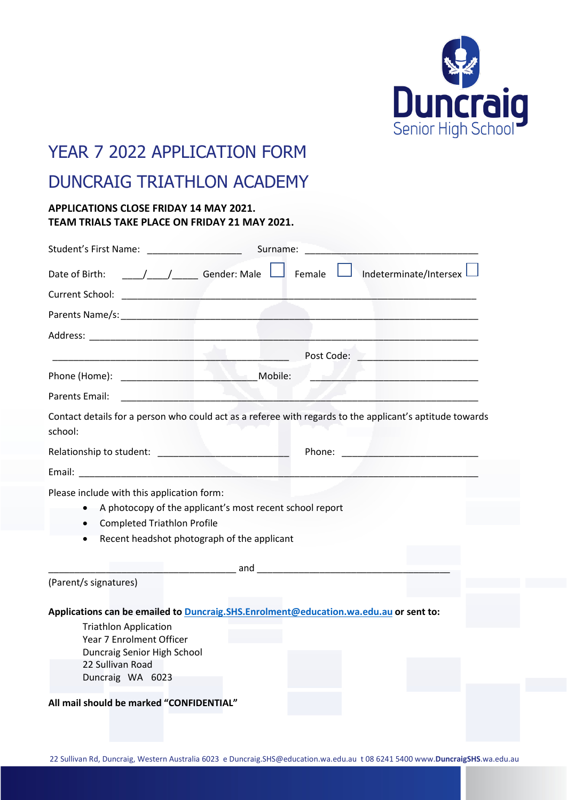

## YEAR 7 2022 APPLICATION FORM

## DUNCRAIG TRIATHLON ACADEMY

## **APPLICATIONS CLOSE FRIDAY 14 MAY 2021. TEAM TRIALS TAKE PLACE ON FRIDAY 21 MAY 2021.**

| Student's First Name: Name and Student's Student's Rise of Name and Student's Student Student Student Student                                                                                                         | Surname:                                                                                                                                                                                                                       |        |                                                                                                          |
|-----------------------------------------------------------------------------------------------------------------------------------------------------------------------------------------------------------------------|--------------------------------------------------------------------------------------------------------------------------------------------------------------------------------------------------------------------------------|--------|----------------------------------------------------------------------------------------------------------|
| Date of Birth:                                                                                                                                                                                                        | <u>____/____/</u> Gender: Male └ <b>│</b> Female                                                                                                                                                                               |        | Indeterminate/Intersex                                                                                   |
| Current School:                                                                                                                                                                                                       | the control of the control of the control of the control of the control of the control of                                                                                                                                      |        |                                                                                                          |
|                                                                                                                                                                                                                       |                                                                                                                                                                                                                                |        |                                                                                                          |
| Address: Address: Address: Address: Address: Address: Address: Address: Address: Address: Address: A                                                                                                                  |                                                                                                                                                                                                                                |        |                                                                                                          |
|                                                                                                                                                                                                                       |                                                                                                                                                                                                                                |        | Post Code: The Contract of the Code:                                                                     |
|                                                                                                                                                                                                                       |                                                                                                                                                                                                                                |        |                                                                                                          |
| Parents Email:                                                                                                                                                                                                        |                                                                                                                                                                                                                                |        |                                                                                                          |
| school:                                                                                                                                                                                                               |                                                                                                                                                                                                                                |        | Contact details for a person who could act as a referee with regards to the applicant's aptitude towards |
|                                                                                                                                                                                                                       |                                                                                                                                                                                                                                | Phone: | <u> 1999 - John Barnson Barnson, markin ba</u>                                                           |
|                                                                                                                                                                                                                       |                                                                                                                                                                                                                                |        |                                                                                                          |
| Please include with this application form:<br>A photocopy of the applicant's most recent school report<br>$\bullet$<br><b>Completed Triathlon Profile</b><br>$\bullet$<br>Recent headshot photograph of the applicant |                                                                                                                                                                                                                                |        |                                                                                                          |
|                                                                                                                                                                                                                       | and the contract of the contract of the contract of the contract of the contract of the contract of the contract of the contract of the contract of the contract of the contract of the contract of the contract of the contra |        |                                                                                                          |
| (Parent/s signatures)                                                                                                                                                                                                 |                                                                                                                                                                                                                                |        |                                                                                                          |
| Applications can be emailed to <b>Duncraig.SHS.Enrolment@education.wa.edu.au</b> or sent to:                                                                                                                          |                                                                                                                                                                                                                                |        |                                                                                                          |
| <b>Triathlon Application</b><br>Year 7 Enrolment Officer                                                                                                                                                              |                                                                                                                                                                                                                                |        |                                                                                                          |
| Duncraig Senior High School                                                                                                                                                                                           |                                                                                                                                                                                                                                |        |                                                                                                          |
| 22 Sullivan Road<br>Duncraig WA 6023                                                                                                                                                                                  |                                                                                                                                                                                                                                |        |                                                                                                          |
| All mail should be marked "CONFIDENTIAL"                                                                                                                                                                              |                                                                                                                                                                                                                                |        |                                                                                                          |
|                                                                                                                                                                                                                       |                                                                                                                                                                                                                                |        |                                                                                                          |